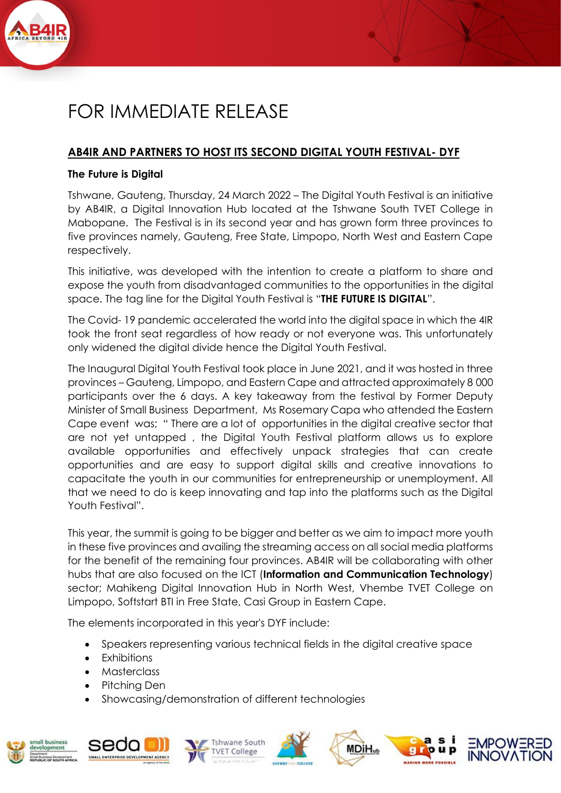

## FOR IMMEDIATE RELEASE

## **AB4IR AND PARTNERS TO HOST ITS SECOND DIGITAL YOUTH FESTIVAL- DYF**

## **The Future is Digital**

Tshwane, Gauteng, Thursday, 24 March 2022 – The Digital Youth Festival is an initiative by AB4IR, a Digital Innovation Hub located at the Tshwane South TVET College in Mabopane. The Festival is in its second year and has grown form three provinces to five provinces namely, Gauteng, Free State, Limpopo, North West and Eastern Cape respectively.

This initiative, was developed with the intention to create a platform to share and expose the youth from disadvantaged communities to the opportunities in the digital space. The tag line for the Digital Youth Festival is "**THE FUTURE IS DIGITAL**".

The Covid- 19 pandemic accelerated the world into the digital space in which the 4IR took the front seat regardless of how ready or not everyone was. This unfortunately only widened the digital divide hence the Digital Youth Festival.

The Inaugural Digital Youth Festival took place in June 2021, and it was hosted in three provinces – Gauteng, Limpopo, and Eastern Cape and attracted approximately 8 000 participants over the 6 days. A key takeaway from the festival by Former Deputy Minister of Small Business Department, Ms Rosemary Capa who attended the Eastern Cape event was; " There are a lot of opportunities in the digital creative sector that are not yet untapped , the Digital Youth Festival platform allows us to explore available opportunities and effectively unpack strategies that can create opportunities and are easy to support digital skills and creative innovations to capacitate the youth in our communities for entrepreneurship or unemployment. All that we need to do is keep innovating and tap into the platforms such as the Digital Youth Festival".

This year, the summit is going to be bigger and better as we aim to impact more youth in these five provinces and availing the streaming access on all social media platforms for the benefit of the remaining four provinces. AB4IR will be collaborating with other hubs that are also focused on the ICT (**Information and Communication Technology**) sector; Mahikeng Digital Innovation Hub in North West, Vhembe TVET College on Limpopo, Softstart BTI in Free State, Casi Group in Eastern Cape.

The elements incorporated in this year's DYF include:

- Speakers representing various technical fields in the digital creative space
- **Exhibitions**
- Masterclass
- Pitching Den
- Showcasing/demonstration of different technologies